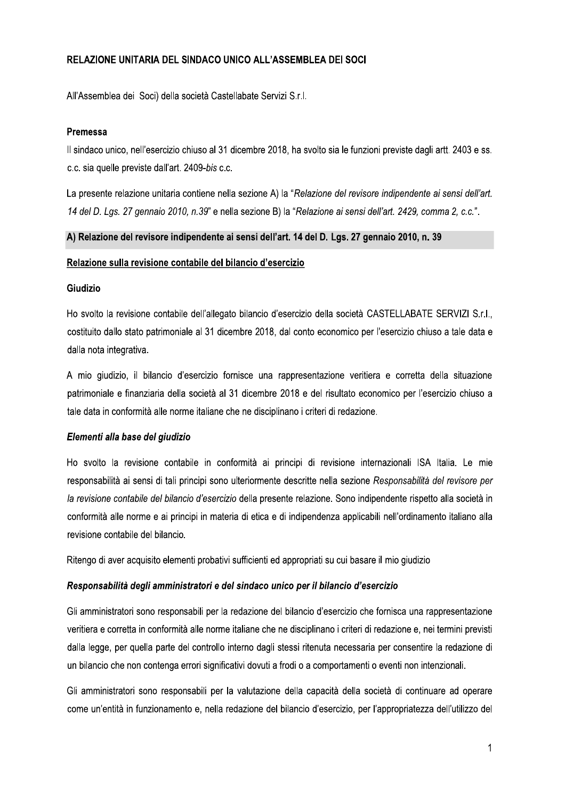# RELAZIONE UNITARIA DEL SINDACO UNICO ALL'ASSEMBLEA DEI SOCI

All'Assemblea dei Soci) della società Castellabate Servizi S.r.l.

### Premessa

Il sindaco unico, nell'esercizio chiuso al 31 dicembre 2018, ha svolto sia le funzioni previste dagli artt. 2403 e ss. c.c. sia quelle previste dall'art. 2409-bis c.c.

La presente relazione unitaria contiene nella sezione A) la "Relazione del revisore indipendente ai sensi dell'art. 14 del D. Lgs. 27 gennaio 2010, n.39" e nella sezione B) la "Relazione ai sensi dell'art. 2429, comma 2, c.c.".

#### A) Relazione del revisore indipendente ai sensi dell'art. 14 del D. Lgs. 27 gennaio 2010, n. 39

#### Relazione sulla revisione contabile del bilancio d'esercizio

### Giudizio

Ho svolto la revisione contabile dell'allegato bilancio d'esercizio della società CASTELLABATE SERVIZI S.r.l., costituito dallo stato patrimoniale al 31 dicembre 2018, dal conto economico per l'esercizio chiuso a tale data e dalla nota integrativa.

A mio giudizio, il bilancio d'esercizio fornisce una rappresentazione veritiera e corretta della situazione patrimoniale e finanziaria della società al 31 dicembre 2018 e del risultato economico per l'esercizio chiuso a tale data in conformità alle norme italiane che ne disciplinano i criteri di redazione.

## Elementi alla base del giudizio

Ho svolto la revisione contabile in conformità ai principi di revisione internazionali ISA Italia. Le mie responsabilità ai sensi di tali principi sono ulteriormente descritte nella sezione Responsabilità del revisore per la revisione contabile del bilancio d'esercizio della presente relazione. Sono indipendente rispetto alla società in conformità alle norme e ai principi in materia di etica e di indipendenza applicabili nell'ordinamento italiano alla revisione contabile del bilancio.

Ritengo di aver acquisito elementi probativi sufficienti ed appropriati su cui basare il mio giudizio

## Responsabilità degli amministratori e del sindaco unico per il bilancio d'esercizio

Gli amministratori sono responsabili per la redazione del bilancio d'esercizio che fornisca una rappresentazione veritiera e corretta in conformità alle norme italiane che ne disciplinano i criteri di redazione e, nei termini previsti dalla legge, per quella parte del controllo interno dagli stessi ritenuta necessaria per consentire la redazione di un bilancio che non contenga errori significativi dovuti a frodi o a comportamenti o eventi non intenzionali.

Gli amministratori sono responsabili per la valutazione della capacità della società di continuare ad operare come un'entità in funzionamento e, nella redazione del bilancio d'esercizio, per l'appropriatezza dell'utilizzo del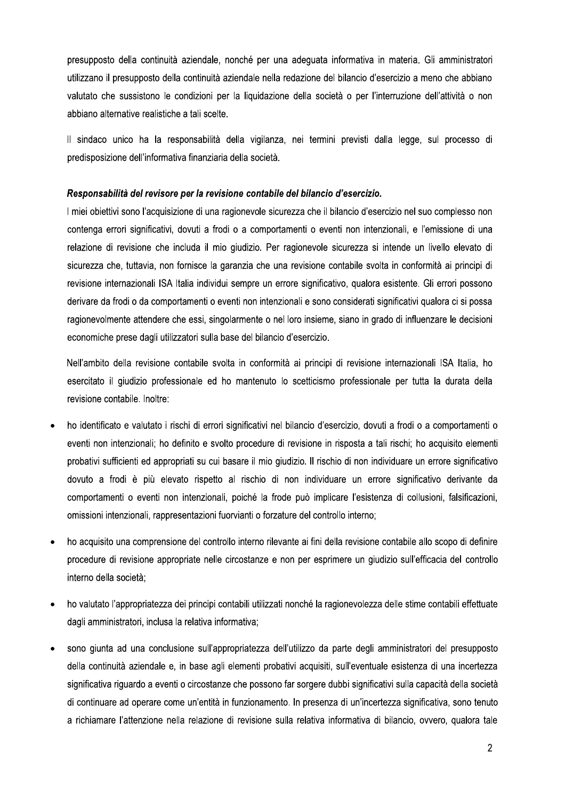presupposto della continuità aziendale, nonché per una adequata informativa in materia. Gli amministratori utilizzano il presupposto della continuità aziendale nella redazione del bilancio d'esercizio a meno che abbiano valutato che sussistono le condizioni per la liquidazione della società o per l'interruzione dell'attività o non abbiano alternative realistiche a tali scelte.

Il sindaco unico ha la responsabilità della vigilanza, nei termini previsti dalla legge, sul processo di predisposizione dell'informativa finanziaria della società.

#### Responsabilità del revisore per la revisione contabile del bilancio d'esercizio.

I miei obiettivi sono l'acquisizione di una ragionevole sicurezza che il bilancio d'esercizio nel suo complesso non contenga errori significativi, dovuti a frodi o a comportamenti o eventi non intenzionali, e l'emissione di una relazione di revisione che includa il mio giudizio. Per ragionevole sicurezza si intende un livello elevato di sicurezza che, tuttavia, non fornisce la garanzia che una revisione contabile svolta in conformità ai principi di revisione internazionali ISA Italia individui sempre un errore significativo, qualora esistente. Gli errori possono derivare da frodi o da comportamenti o eventi non intenzionali e sono considerati significativi qualora ci si possa ragionevolmente attendere che essi, singolarmente o nel loro insieme, siano in grado di influenzare le decisioni economiche prese dagli utilizzatori sulla base del bilancio d'esercizio.

Nell'ambito della revisione contabile svolta in conformità ai principi di revisione internazionali ISA Italia, ho esercitato il giudizio professionale ed ho mantenuto lo scetticismo professionale per tutta la durata della revisione contabile. Inoltre:

- ho identificato e valutato i rischi di errori significativi nel bilancio d'esercizio, dovuti a frodi o a comportamenti o eventi non intenzionali; ho definito e svolto procedure di revisione in risposta a tali rischi; ho acquisito elementi probativi sufficienti ed appropriati su cui basare il mio giudizio. Il rischio di non individuare un errore significativo dovuto a frodi è più elevato rispetto al rischio di non individuare un errore significativo derivante da comportamenti o eventi non intenzionali, poiché la frode può implicare l'esistenza di collusioni, falsificazioni, omissioni intenzionali, rappresentazioni fuorvianti o forzature del controllo interno;
- ho acquisito una comprensione del controllo interno rilevante ai fini della revisione contabile allo scopo di definire  $\bullet$ procedure di revisione appropriate nelle circostanze e non per esprimere un giudizio sull'efficacia del controllo interno della società:
- ho valutato l'appropriatezza dei principi contabili utilizzati nonché la ragionevolezza delle stime contabili effettuate  $\bullet$ dagli amministratori, inclusa la relativa informativa;
- sono giunta ad una conclusione sull'appropriatezza dell'utilizzo da parte degli amministratori del presupposto  $\bullet$ della continuità aziendale e, in base agli elementi probativi acquisiti, sull'eventuale esistenza di una incertezza significativa riguardo a eventi o circostanze che possono far sorgere dubbi significativi sulla capacità della società di continuare ad operare come un'entità in funzionamento. In presenza di un'incertezza significativa, sono tenuto a richiamare l'attenzione nella relazione di revisione sulla relativa informativa di bilancio, ovvero, qualora tale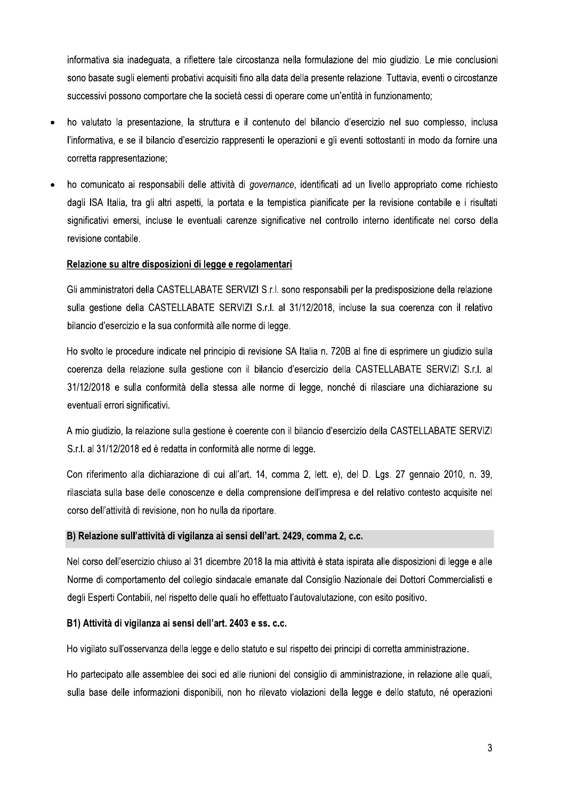informativa sia inadequata, a riflettere tale circostanza nella formulazione del mio giudizio. Le mie conclusioni sono basate sugli elementi probativi acquisiti fino alla data della presente relazione. Tuttavia, eventi o circostanze successivi possono comportare che la società cessi di operare come un'entità in funzionamento;

- ho valutato la presentazione. la struttura e il contenuto del bilancio d'esercizio nel suo complesso, inclusa l'informativa, e se il bilancio d'esercizio rappresenti le operazioni e gli eventi sottostanti in modo da fornire una corretta rappresentazione;
- ho comunicato ai responsabili delle attività di governance, identificati ad un livello appropriato come richiesto dagli ISA Italia, tra gli altri aspetti, la portata e la tempistica pianificate per la revisione contabile e i risultati significativi emersi, incluse le eventuali carenze significative nel controllo interno identificate nel corso della revisione contabile.

# Relazione su altre disposizioni di legge e regolamentari

Gli amministratori della CASTELLABATE SERVIZI S.r.l. sono responsabili per la predisposizione della relazione sulla gestione della CASTELLABATE SERVIZI S.r.l. al 31/12/2018, incluse la sua coerenza con il relativo bilancio d'esercizio e la sua conformità alle norme di legge.

Ho svolto le procedure indicate nel principio di revisione SA Italia n. 720B al fine di esprimere un giudizio sulla coerenza della relazione sulla gestione con il bilancio d'esercizio della CASTELLABATE SERVIZI S.r.l. al 31/12/2018 e sulla conformità della stessa alle norme di legge, nonché di rilasciare una dichiarazione su eventuali errori significativi.

A mio giudizio, la relazione sulla gestione è coerente con il bilancio d'esercizio della CASTELLABATE SERVIZI S.r.l. al 31/12/2018 ed è redatta in conformità alle norme di legge.

Con riferimento alla dichiarazione di cui all'art. 14, comma 2, lett. e), del D. Lgs. 27 gennaio 2010, n. 39, rilasciata sulla base delle conoscenze e della comprensione dell'impresa e del relativo contesto acquisite nel corso dell'attività di revisione, non ho nulla da riportare.

## B) Relazione sull'attività di vigilanza ai sensi dell'art. 2429, comma 2, c.c.

Nel corso dell'esercizio chiuso al 31 dicembre 2018 la mia attività è stata ispirata alle disposizioni di legge e alle Norme di comportamento del collegio sindacale emanate dal Consiglio Nazionale dei Dottori Commercialisti e degli Esperti Contabili, nel rispetto delle quali ho effettuato l'autovalutazione, con esito positivo.

## B1) Attività di vigilanza ai sensi dell'art. 2403 e ss. c.c.

Ho vigilato sull'osservanza della legge e dello statuto e sul rispetto dei principi di corretta amministrazione.

Ho partecipato alle assemblee dei soci ed alle riunioni del consiglio di amministrazione, in relazione alle quali, sulla base delle informazioni disponibili, non ho rilevato violazioni della legge e dello statuto, né operazioni